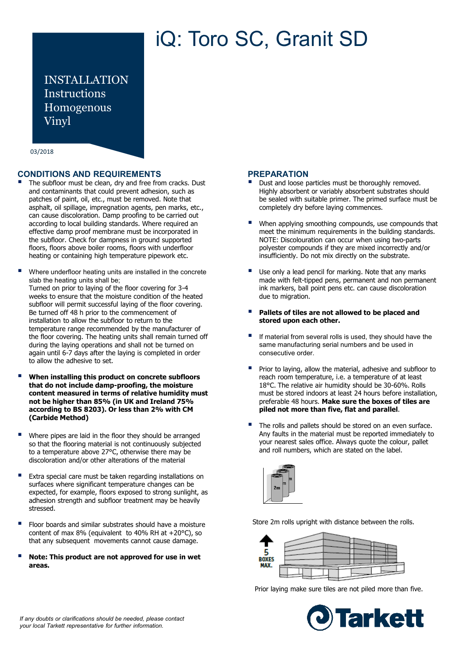# iQ: Toro SC, Granit SD

INSTALLATION Instructions Homogenous Vinyl

03/2018

# **CONDITIONS AND REQUIREMENTS**

- The subfloor must be clean, dry and free from cracks. Dust and contaminants that could prevent adhesion, such as patches of paint, oil, etc., must be removed. Note that asphalt, oil spillage, impregnation agents, pen marks, etc., can cause discoloration. Damp proofing to be carried out according to local building standards. Where required an effective damp proof membrane must be incorporated in the subfloor. Check for dampness in ground supported floors, floors above boiler rooms, floors with underfloor heating or containing high temperature pipework etc.
- Where underfloor heating units are installed in the concrete slab the heating units shall be; Turned on prior to laying of the floor covering for 3-4 weeks to ensure that the moisture condition of the heated subfloor will permit successful laying of the floor covering. Be turned off 48 h prior to the commencement of installation to allow the subfloor to return to the temperature range recommended by the manufacturer of the floor covering. The heating units shall remain turned off during the laying operations and shall not be turned on again until 6-7 days after the laying is completed in order to allow the adhesive to set.
- **When installing this product on concrete subfloors that do not include damp-proofing, the moisture content measured in terms of relative humidity must not be higher than 85% (in UK and Ireland 75% according to BS 8203). Or less than 2% with CM (Carbide Method)**
- Where pipes are laid in the floor they should be arranged so that the flooring material is not continuously subjected to a temperature above 27°C, otherwise there may be discoloration and/or other alterations of the material
- Extra special care must be taken regarding installations on surfaces where significant temperature changes can be expected, for example, floors exposed to strong sunlight, as adhesion strength and subfloor treatment may be heavily stressed.
- Floor boards and similar substrates should have a moisture content of max 8% (equivalent to 40% RH at +20°C), so that any subsequent movements cannot cause damage.
- **Note: This product are not approved for use in wet areas.**

# **PREPARATION**

- Dust and loose particles must be thoroughly removed. Highly absorbent or variably absorbent substrates should be sealed with suitable primer. The primed surface must be completely dry before laying commences.
- When applying smoothing compounds, use compounds that meet the minimum requirements in the building standards. NOTE: Discolouration can occur when using two-parts polyester compounds if they are mixed incorrectly and/or insufficiently. Do not mix directly on the substrate.
- Use only a lead pencil for marking. Note that any marks made with felt-tipped pens, permanent and non permanent ink markers, ball point pens etc. can cause discoloration due to migration.
- **Pallets of tiles are not allowed to be placed and stored upon each other.**
- If material from several rolls is used, they should have the same manufacturing serial numbers and be used in consecutive order.
- Prior to laying, allow the material, adhesive and subfloor to reach room temperature, i.e. a temperature of at least 18°C. The relative air humidity should be 30-60%. Rolls must be stored indoors at least 24 hours before installation, preferable 48 hours. **Make sure the boxes of tiles are piled not more than five, flat and parallel**.
- The rolls and pallets should be stored on an even surface. Any faults in the material must be reported immediately to your nearest sales office. Always quote the colour, pallet and roll numbers, which are stated on the label.



Store 2m rolls upright with distance between the rolls.



Prior laying make sure tiles are not piled more than five.

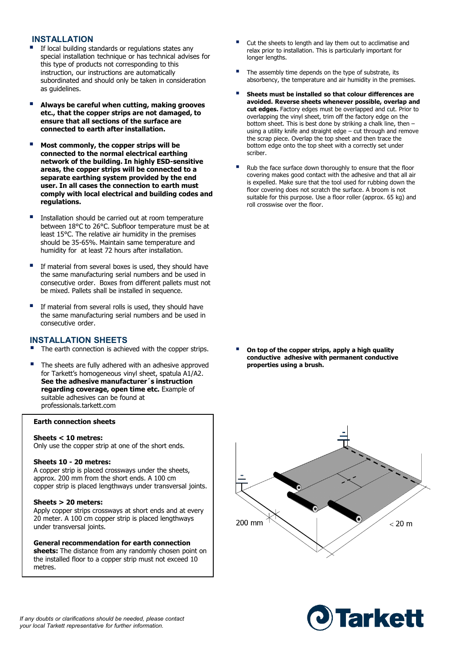#### **INSTALLATION**

- If local building standards or regulations states any special installation technique or has technical advises for this type of products not corresponding to this instruction, our instructions are automatically subordinated and should only be taken in consideration as guidelines.
- **Always be careful when cutting, making grooves etc., that the copper strips are not damaged, to ensure that all sections of the surface are connected to earth after installation.**
- **Most commonly, the copper strips will be connected to the normal electrical earthing network of the building. In highly ESD-sensitive areas, the copper strips will be connected to a separate earthing system provided by the end user. In all cases the connection to earth must comply with local electrical and building codes and regulations.**
- Installation should be carried out at room temperature between 18°C to 26°C. Subfloor temperature must be at least 15°C. The relative air humidity in the premises should be 35-65%. Maintain same temperature and humidity for at least 72 hours after installation.
- If material from several boxes is used, they should have the same manufacturing serial numbers and be used in consecutive order. Boxes from different pallets must not be mixed. Pallets shall be installed in sequence.
- If material from several rolls is used, they should have the same manufacturing serial numbers and be used in consecutive order.

#### **INSTALLATION SHEETS**

- The earth connection is achieved with the copper strips.
- The sheets are fully adhered with an adhesive approved for Tarkett's homogeneous vinyl sheet, spatula A1/A2. **See the adhesive manufacturer´s instruction regarding coverage, open time etc.** Example of suitable adhesives can be found at professionals.tarkett.com

#### **Earth connection sheets**

#### **Sheets < 10 metres:**

Only use the copper strip at one of the short ends.

#### **Sheets 10 - 20 metres:**

A copper strip is placed crossways under the sheets, approx. 200 mm from the short ends. A 100 cm copper strip is placed lengthways under transversal joints.

#### **Sheets > 20 meters:**

Apply copper strips crossways at short ends and at every 20 meter. A 100 cm copper strip is placed lengthways under transversal joints.

#### **General recommendation for earth connection**

sheets: The distance from any randomly chosen point on the installed floor to a copper strip must not exceed 10 metres.

- Cut the sheets to length and lay them out to acclimatise and relax prior to installation. This is particularly important for longer lengths.
- The assembly time depends on the type of substrate, its absorbency, the temperature and air humidity in the premises.
- **Sheets must be installed so that colour differences are avoided. Reverse sheets whenever possible, overlap and cut edges.** Factory edges must be overlapped and cut. Prior to overlapping the vinyl sheet, trim off the factory edge on the bottom sheet. This is best done by striking a chalk line, then – using a utility knife and straight edge – cut through and remove the scrap piece. Overlap the top sheet and then trace the bottom edge onto the top sheet with a correctly set under scriber.
- Rub the face surface down thoroughly to ensure that the floor covering makes good contact with the adhesive and that all air is expelled. Make sure that the tool used for rubbing down the floor covering does not scratch the surface. A broom is not suitable for this purpose. Use a floor roller (approx. 65 kg) and roll crosswise over the floor.

 **On top of the copper strips, apply a high quality conductive adhesive with permanent conductive properties using a brush.**